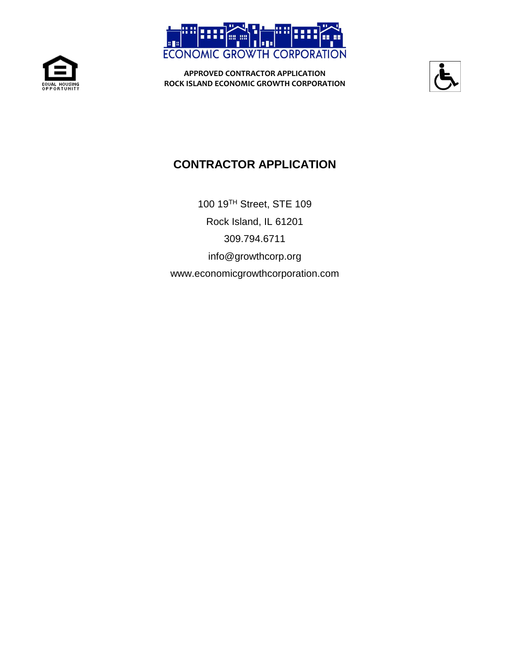





# **CONTRACTOR APPLICATION**

100 19TH Street, STE 109 Rock Island, IL 61201 309.794.6711 info@growthcorp.org www.economicgrowthcorporation.com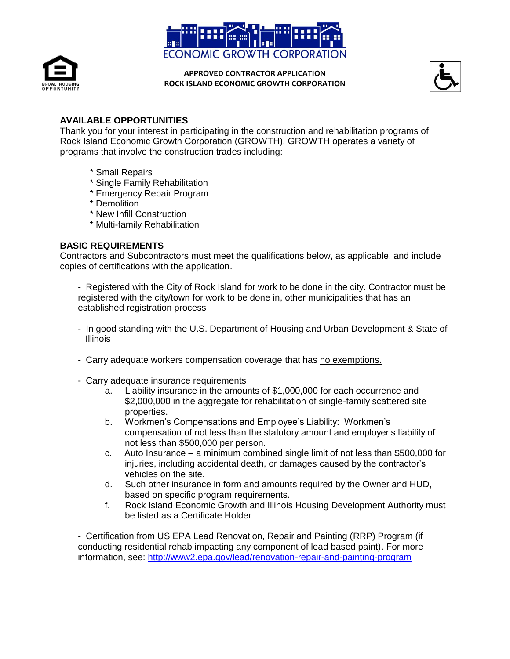





# **AVAILABLE OPPORTUNITIES**

Thank you for your interest in participating in the construction and rehabilitation programs of Rock Island Economic Growth Corporation (GROWTH). GROWTH operates a variety of programs that involve the construction trades including:

- \* Small Repairs
- \* Single Family Rehabilitation
- \* Emergency Repair Program
- \* Demolition
- \* New Infill Construction
- \* Multi-family Rehabilitation

### **BASIC REQUIREMENTS**

Contractors and Subcontractors must meet the qualifications below, as applicable, and include copies of certifications with the application.

- Registered with the City of Rock Island for work to be done in the city. Contractor must be registered with the city/town for work to be done in, other municipalities that has an established registration process
- In good standing with the U.S. Department of Housing and Urban Development & State of **Illinois**
- Carry adequate workers compensation coverage that has no exemptions.
- Carry adequate insurance requirements
	- a. Liability insurance in the amounts of \$1,000,000 for each occurrence and \$2,000,000 in the aggregate for rehabilitation of single-family scattered site properties.
	- b. Workmen's Compensations and Employee's Liability: Workmen's compensation of not less than the statutory amount and employer's liability of not less than \$500,000 per person.
	- c. Auto Insurance a minimum combined single limit of not less than \$500,000 for injuries, including accidental death, or damages caused by the contractor's vehicles on the site.
	- d. Such other insurance in form and amounts required by the Owner and HUD, based on specific program requirements.
	- f. Rock Island Economic Growth and Illinois Housing Development Authority must be listed as a Certificate Holder

- Certification from US EPA Lead Renovation, Repair and Painting (RRP) Program (if conducting residential rehab impacting any component of lead based paint). For more information, see:<http://www2.epa.gov/lead/renovation-repair-and-painting-program>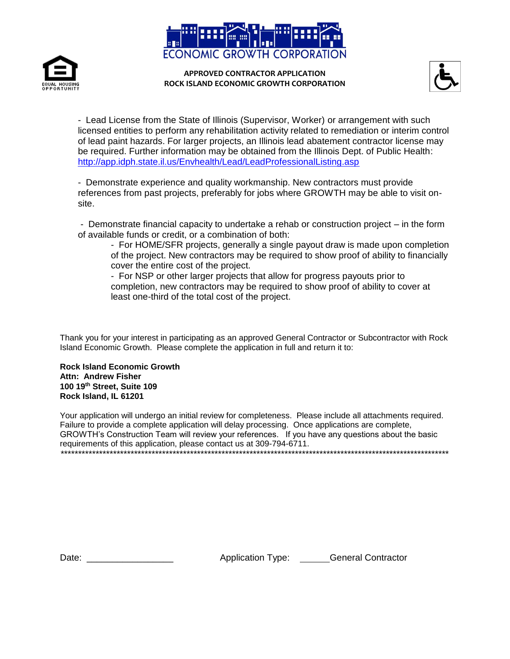





- Lead License from the State of Illinois (Supervisor, Worker) or arrangement with such licensed entities to perform any rehabilitation activity related to remediation or interim control of lead paint hazards. For larger projects, an Illinois lead abatement contractor license may be required. Further information may be obtained from the Illinois Dept. of Public Health: <http://app.idph.state.il.us/Envhealth/Lead/LeadProfessionalListing.asp>

- Demonstrate experience and quality workmanship. New contractors must provide references from past projects, preferably for jobs where GROWTH may be able to visit onsite.

- Demonstrate financial capacity to undertake a rehab or construction project – in the form of available funds or credit, or a combination of both:

- For HOME/SFR projects, generally a single payout draw is made upon completion of the project. New contractors may be required to show proof of ability to financially cover the entire cost of the project.

- For NSP or other larger projects that allow for progress payouts prior to completion, new contractors may be required to show proof of ability to cover at least one-third of the total cost of the project.

Thank you for your interest in participating as an approved General Contractor or Subcontractor with Rock Island Economic Growth. Please complete the application in full and return it to:

**Rock Island Economic Growth Attn: Andrew Fisher 100 19th Street, Suite 109 Rock Island, IL 61201**

Your application will undergo an initial review for completeness. Please include all attachments required. Failure to provide a complete application will delay processing. Once applications are complete, GROWTH's Construction Team will review your references. If you have any questions about the basic requirements of this application, please contact us at 309-794-6711. \*\*\*\*\*\*\*\*\*\*\*\*\*\*\*\*\*\*\*\*\*\*\*\*\*\*\*\*\*\*\*\*\*\*\*\*\*\*\*\*\*\*\*\*\*\*\*\*\*\*\*\*\*\*\*\*\*\*\*\*\*\*\*\*\*\*\*\*\*\*\*\*\*\*\*\*\*\*\*\*\*\*\*\*\*\*\*\*\*\*\*\*\*\*\*\*\*\*\*\*\*\*\*\*\*\*\*\*\*\*\*

Date: \_\_\_\_\_\_\_\_\_\_\_\_\_\_\_\_\_\_\_\_\_\_\_\_ Application Type: \_\_\_\_\_\_General Contractor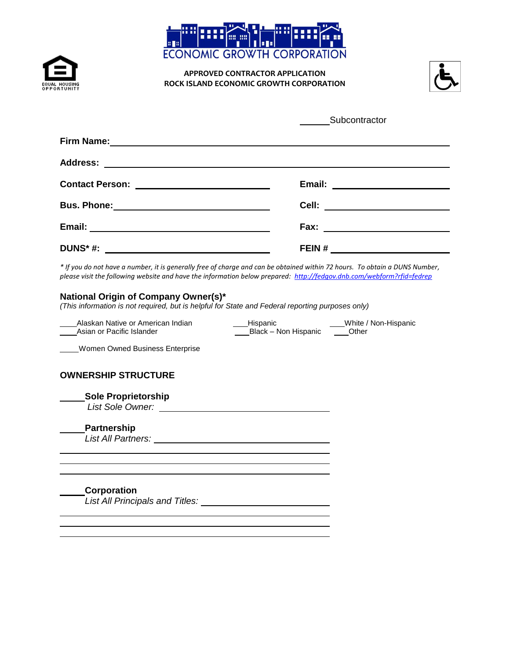





|                   | Subcontractor                                             |  |  |
|-------------------|-----------------------------------------------------------|--|--|
| <b>Firm Name:</b> | <u> 1989 - Johann Barnett, fransk politiker (d. 1989)</u> |  |  |
|                   |                                                           |  |  |
|                   |                                                           |  |  |
|                   | Cell: ________________________                            |  |  |
|                   |                                                           |  |  |
| <b>DUNS*#:</b>    |                                                           |  |  |

*\* If you do not have a number, it is generally free of charge and can be obtained within 72 hours. To obtain a DUNS Number, please visit the following website and have the information below prepared:<http://fedgov.dnb.com/webform?rfid=fedrep>*

#### **National Origin of Company Owner(s)\***

*(This information is not required, but is helpful for State and Federal reporting purposes only)*

Alaskan Native or American Indian Alberts Alispanic Alaskan Mative or American Indian Hispanic Hispanic Albert<br>Asian or Pacific Islander Alberts Alberts Black – Non-Hispanic Alberts Other

Black – Non Hispanic

Women Owned Business Enterprise

#### **OWNERSHIP STRUCTURE**

| <b>Sole Proprietorship</b><br>List Sole Owner: |  |
|------------------------------------------------|--|
| <b>Partnership</b>                             |  |
| List All Partners:                             |  |
|                                                |  |
|                                                |  |
| Corporation                                    |  |
| <b>List All Principals and Titles:</b>         |  |
|                                                |  |
|                                                |  |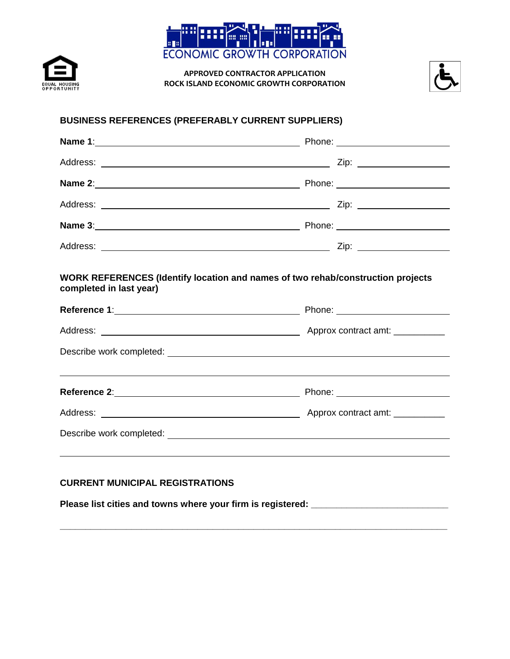





# **BUSINESS REFERENCES (PREFERABLY CURRENT SUPPLIERS)**

|                         | Name 2: 2008 2009 Phone: 2009 Phone: 2009 Phone: 2009 Phone: 2009 Phone: 2009 Phone: 2009 Phone: 2009 Phone: 2009 Phone: 2009 Phone: 2009 Phone: 2009 Phone: 2009 Phone: 2009 Phone: 2009 Phone: 2009 Phone: 2009 Phone: 2009                                                                                     |
|-------------------------|-------------------------------------------------------------------------------------------------------------------------------------------------------------------------------------------------------------------------------------------------------------------------------------------------------------------|
|                         |                                                                                                                                                                                                                                                                                                                   |
|                         |                                                                                                                                                                                                                                                                                                                   |
|                         |                                                                                                                                                                                                                                                                                                                   |
| completed in last year) | WORK REFERENCES (Identify location and names of two rehab/construction projects<br>Reference 1: Neter and Society and Society and Society and Society and Society and Society and Society and Society and Society and Society and Society and Society and Society and Society and Society and Society and Society |
|                         |                                                                                                                                                                                                                                                                                                                   |
|                         | Describe work completed: <u>example with a series of the series of the series of the series of the series of the series of the series of the series of the series of the series of the series of the series of the series of the</u>                                                                              |
|                         | ,我们也不会有什么。""我们的人,我们也不会有什么?""我们的人,我们也不会有什么?""我们的人,我们也不会有什么?""我们的人,我们也不会有什么?""我们的人                                                                                                                                                                                                                                  |
|                         |                                                                                                                                                                                                                                                                                                                   |
|                         |                                                                                                                                                                                                                                                                                                                   |
|                         |                                                                                                                                                                                                                                                                                                                   |
|                         |                                                                                                                                                                                                                                                                                                                   |

**\_\_\_\_\_\_\_\_\_\_\_\_\_\_\_\_\_\_\_\_\_\_\_\_\_\_\_\_\_\_\_\_\_\_\_\_\_\_\_\_\_\_\_\_\_\_\_\_\_\_\_\_\_\_\_\_\_\_\_\_\_\_\_\_\_\_\_\_\_\_\_\_\_\_\_\_**

# **CURRENT MUNICIPAL REGISTRATIONS**

Please list cities and towns where your firm is registered: \_\_\_\_\_\_\_\_\_\_\_\_\_\_\_\_\_\_\_\_\_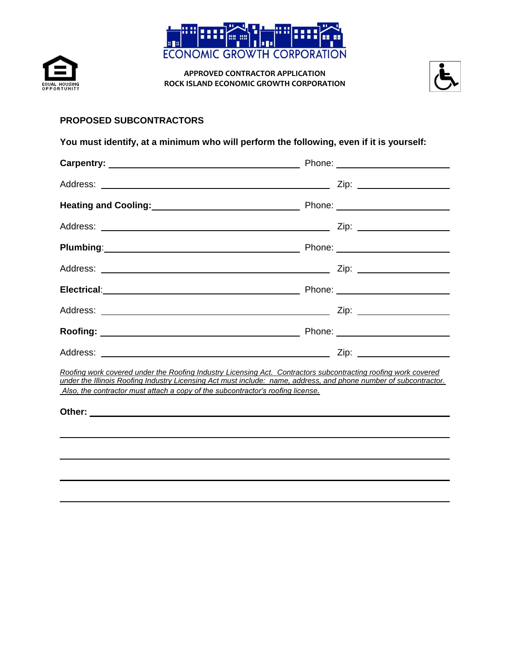





### **PROPOSED SUBCONTRACTORS**

# **You must identify, at a minimum who will perform the following, even if it is yourself:**

| <b>Plumbing</b> : 2008 2014 2015 2020 2021 2021 2022 2021 2022 2021 2022 2021 2022 2022 2021 2022 2022 2022 2021 2021 20                                                                                                                                                                                               |  |  |  |  |
|------------------------------------------------------------------------------------------------------------------------------------------------------------------------------------------------------------------------------------------------------------------------------------------------------------------------|--|--|--|--|
|                                                                                                                                                                                                                                                                                                                        |  |  |  |  |
|                                                                                                                                                                                                                                                                                                                        |  |  |  |  |
|                                                                                                                                                                                                                                                                                                                        |  |  |  |  |
|                                                                                                                                                                                                                                                                                                                        |  |  |  |  |
|                                                                                                                                                                                                                                                                                                                        |  |  |  |  |
| Roofing work covered under the Roofing Industry Licensing Act. Contractors subcontracting roofing work covered<br>under the Illinois Roofing Industry Licensing Act must include: name, address, and phone number of subcontractor.<br>Also, the contractor must attach a copy of the subcontractor's roofing license. |  |  |  |  |
|                                                                                                                                                                                                                                                                                                                        |  |  |  |  |
|                                                                                                                                                                                                                                                                                                                        |  |  |  |  |
|                                                                                                                                                                                                                                                                                                                        |  |  |  |  |